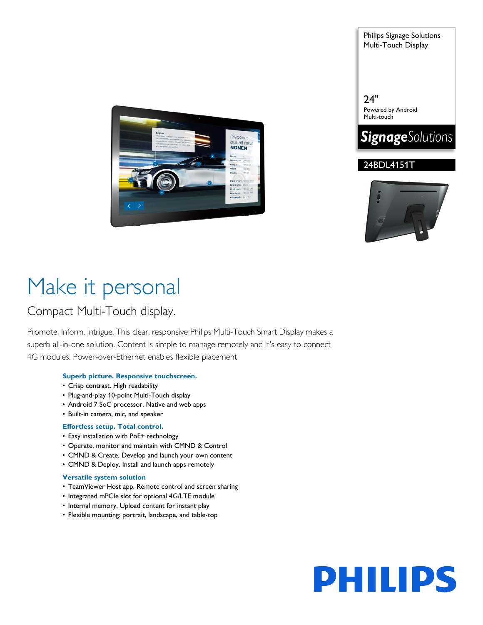

Philips Signage Solutions Multi-Touch Display

24" Powered by Android Multi-touch







# Make it personal

### Compact Multi-Touch display.

Promote. Inform. Intrigue. This clear, responsive Philips Multi-Touch Smart Display makes a superb all-in-one solution. Content is simple to manage remotely and it's easy to connect 4G modules. Power-over-Ethernet enables flexible placement

#### **Superb picture. Responsive touchscreen.**

- Crisp contrast. High readability
- Plug-and-play 10-point Multi-Touch display
- Android 7 SoC processor. Native and web apps
- Built-in camera, mic, and speaker

#### **Effortless setup. Total control.**

- Easy installation with PoE+ technology
- Operate, monitor and maintain with CMND & Control
- CMND & Create. Develop and launch your own content
- CMND & Deploy. Install and launch apps remotely

#### **Versatile system solution**

- TeamViewer Host app. Remote control and screen sharing
- Integrated mPCIe slot for optional 4G/LTE module
- Internal memory. Upload content for instant play
- Flexible mounting: portrait, landscape, and table-top

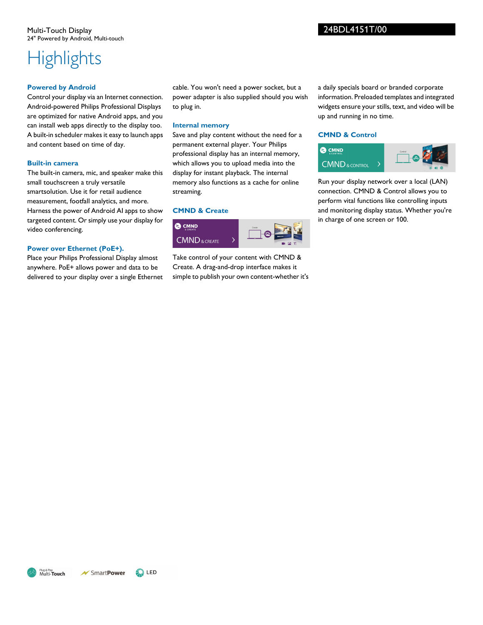#### Multi-Touch Display 24" Powered by Android, Multi-touch

# **Highlights**

#### **Powered by Android**

Control your display via an Internet connection. Android-powered Philips Professional Displays are optimized for native Android apps, and you can install web apps directly to the display too. A built-in scheduler makes it easy to launch apps and content based on time of day.

#### **Built-in camera**

The built-in camera, mic, and speaker make this small touchscreen a truly versatile smartsolution. Use it for retail audience measurement, footfall analytics, and more. Harness the power of Android AI apps to show targeted content. Or simply use your display for video conferencing.

#### **Power over Ethernet (PoE+).**

Place your Philips Professional Display almost anywhere. PoE+ allows power and data to be delivered to your display over a single Ethernet cable. You won't need a power socket, but a power adapter is also supplied should you wish to plug in.

#### **Internal memory**

Save and play content without the need for a permanent external player. Your Philips professional display has an internal memory, which allows you to upload media into the display for instant playback. The internal memory also functions as a cache for online streaming.

#### **CMND & Create**



Take control of your content with CMND & Create. A drag-and-drop interface makes it simple to publish your own content-whether it's a daily specials board or branded corporate information. Preloaded templates and integrated widgets ensure your stills, text, and video will be up and running in no time.

#### **CMND & Control**



Run your display network over a local (LAN) connection. CMND & Control allows you to perform vital functions like controlling inputs and monitoring display status. Whether you're in charge of one screen or 100.

24BDL4151T/00

Plug & Play<br>Multi-**Touch**